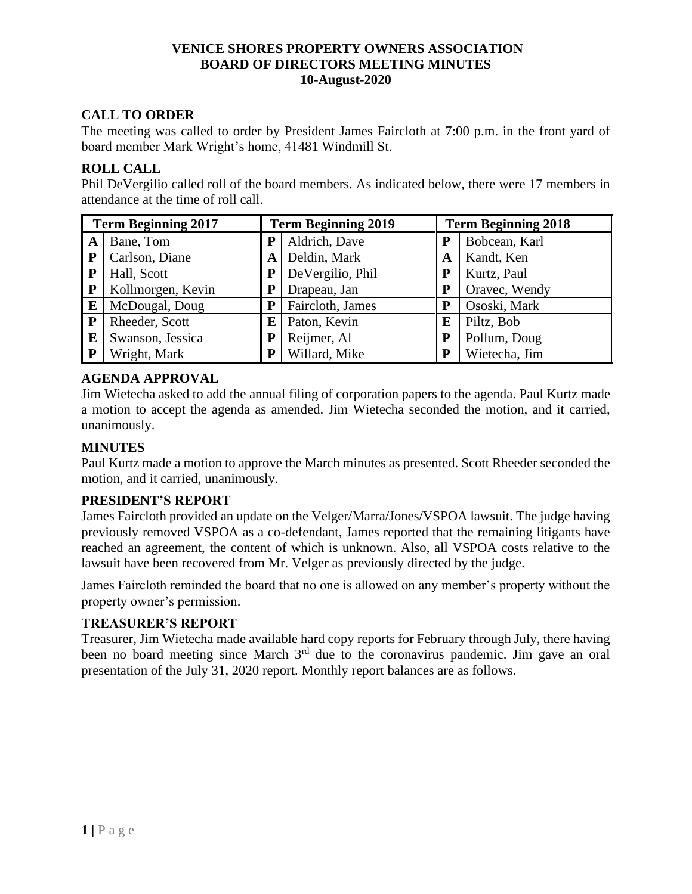# **CALL TO ORDER**

The meeting was called to order by President James Faircloth at 7:00 p.m. in the front yard of board member Mark Wright's home, 41481 Windmill St.

### **ROLL CALL**

Phil DeVergilio called roll of the board members. As indicated below, there were 17 members in attendance at the time of roll call.

| <b>Term Beginning 2017</b> |                   |   | <b>Term Beginning 2019</b> |   | <b>Term Beginning 2018</b> |  |
|----------------------------|-------------------|---|----------------------------|---|----------------------------|--|
| A                          | Bane, Tom         | P | Aldrich, Dave              | P | Bobcean, Karl              |  |
| $\mathbf{P}$               | Carlson, Diane    | A | Deldin, Mark               | A | Kandt, Ken                 |  |
| P                          | Hall, Scott       | P | DeVergilio, Phil           | P | Kurtz, Paul                |  |
| $\mathbf{P}$               | Kollmorgen, Kevin |   | Drapeau, Jan               | P | Oravec, Wendy              |  |
| E                          | McDougal, Doug    | P | Faircloth, James           | P | Ososki, Mark               |  |
| $\mathbf{P}$               | Rheeder, Scott    | E | Paton, Kevin               | E | Piltz, Bob                 |  |
| E                          | Swanson, Jessica  | P | Reijmer, Al                | P | Pollum, Doug               |  |
| P                          | Wright, Mark      | P | Willard, Mike              | P | Wietecha, Jim              |  |

### **AGENDA APPROVAL**

Jim Wietecha asked to add the annual filing of corporation papers to the agenda. Paul Kurtz made a motion to accept the agenda as amended. Jim Wietecha seconded the motion, and it carried, unanimously.

## **MINUTES**

Paul Kurtz made a motion to approve the March minutes as presented. Scott Rheeder seconded the motion, and it carried, unanimously.

### **PRESIDENT'S REPORT**

James Faircloth provided an update on the Velger/Marra/Jones/VSPOA lawsuit. The judge having previously removed VSPOA as a co-defendant, James reported that the remaining litigants have reached an agreement, the content of which is unknown. Also, all VSPOA costs relative to the lawsuit have been recovered from Mr. Velger as previously directed by the judge.

James Faircloth reminded the board that no one is allowed on any member's property without the property owner's permission.

### **TREASURER'S REPORT**

Treasurer, Jim Wietecha made available hard copy reports for February through July, there having been no board meeting since March 3<sup>rd</sup> due to the coronavirus pandemic. Jim gave an oral presentation of the July 31, 2020 report. Monthly report balances are as follows.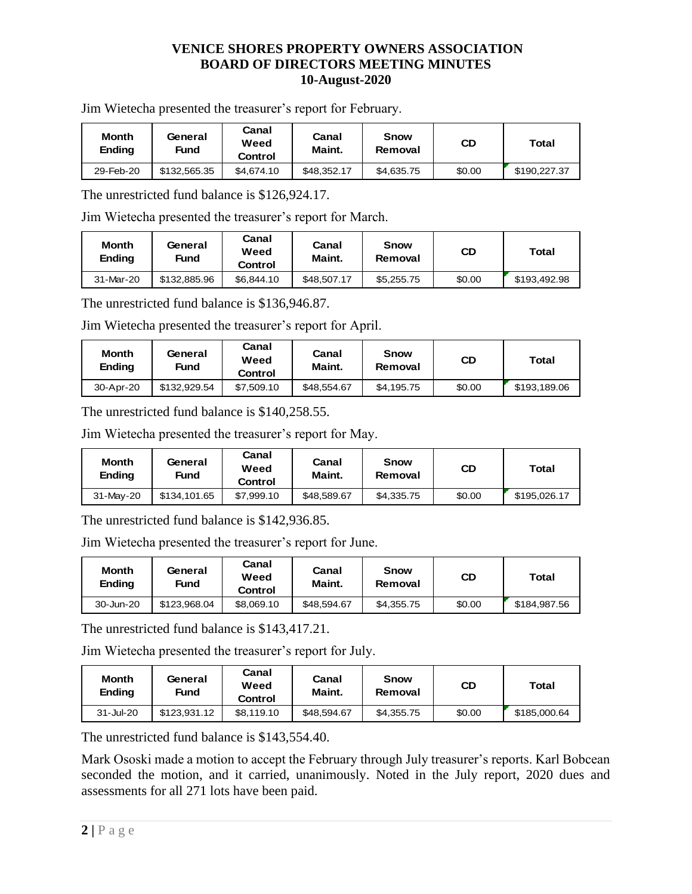Jim Wietecha presented the treasurer's report for February.

| <b>Month</b><br><b>Ending</b> | General<br>Fund | Canal<br>Weed<br>Control | Canal<br>Maint. | <b>Snow</b><br>Removal | CD     | <b>Total</b> |
|-------------------------------|-----------------|--------------------------|-----------------|------------------------|--------|--------------|
| 29-Feb-20                     | \$132,565,35    | \$4,674.10               | \$48,352.17     | \$4,635.75             | \$0.00 | \$190.227.37 |

The unrestricted fund balance is \$126,924.17.

Jim Wietecha presented the treasurer's report for March.

| <b>Month</b><br>Ending | General<br>Fund | Canal<br>Weed<br>Control | Canal<br>Maint. | <b>Snow</b><br>Removal | <b>CD</b> | Total        |
|------------------------|-----------------|--------------------------|-----------------|------------------------|-----------|--------------|
| 31-Mar-20              | \$132,885.96    | \$6,844.10               | \$48,507.17     | \$5,255.75             | \$0.00    | \$193,492.98 |

The unrestricted fund balance is \$136,946.87.

Jim Wietecha presented the treasurer's report for April.

| <b>Month</b><br>Ending | General<br>Fund | Canal<br>Weed<br>Control | Canal<br>Maint. | <b>Snow</b><br>Removal | <b>CD</b> | <b>Total</b> |
|------------------------|-----------------|--------------------------|-----------------|------------------------|-----------|--------------|
| 30-Apr-20              | \$132,929.54    | \$7,509.10               | \$48,554.67     | \$4,195.75             | \$0.00    | \$193,189.06 |

The unrestricted fund balance is \$140,258.55.

Jim Wietecha presented the treasurer's report for May.

| <b>Month</b><br>Ending | General<br>Fund | Canal<br>Weed<br>Control | Canal<br>Maint. | Snow<br>Removal | CD     | Total        |
|------------------------|-----------------|--------------------------|-----------------|-----------------|--------|--------------|
| 31-May-20              | \$134,101.65    | \$7,999.10               | \$48,589.67     | \$4,335.75      | \$0.00 | \$195,026.17 |

The unrestricted fund balance is \$142,936.85.

Jim Wietecha presented the treasurer's report for June.

| <b>Month</b><br><b>Ending</b> | General<br>Fund | Canal<br>Weed<br>Control | Canal<br>Maint. | Snow<br>Removal | CD     | Total        |
|-------------------------------|-----------------|--------------------------|-----------------|-----------------|--------|--------------|
| 30-Jun-20                     | \$123.968.04    | \$8.069.10               | \$48,594,67     | \$4,355.75      | \$0.00 | \$184,987.56 |

The unrestricted fund balance is \$143,417.21.

Jim Wietecha presented the treasurer's report for July.

| <b>Month</b><br><b>Ending</b> | General<br>Fund | Canal<br>Weed<br>Control | Canal<br>Maint. | <b>Snow</b><br>Removal | CD     | Total        |
|-------------------------------|-----------------|--------------------------|-----------------|------------------------|--------|--------------|
| 31-Jul-20                     | \$123.931.12    | \$8.119.10               | \$48,594.67     | \$4.355.75             | \$0.00 | \$185,000.64 |

The unrestricted fund balance is \$143,554.40.

Mark Ososki made a motion to accept the February through July treasurer's reports. Karl Bobcean seconded the motion, and it carried, unanimously. Noted in the July report, 2020 dues and assessments for all 271 lots have been paid.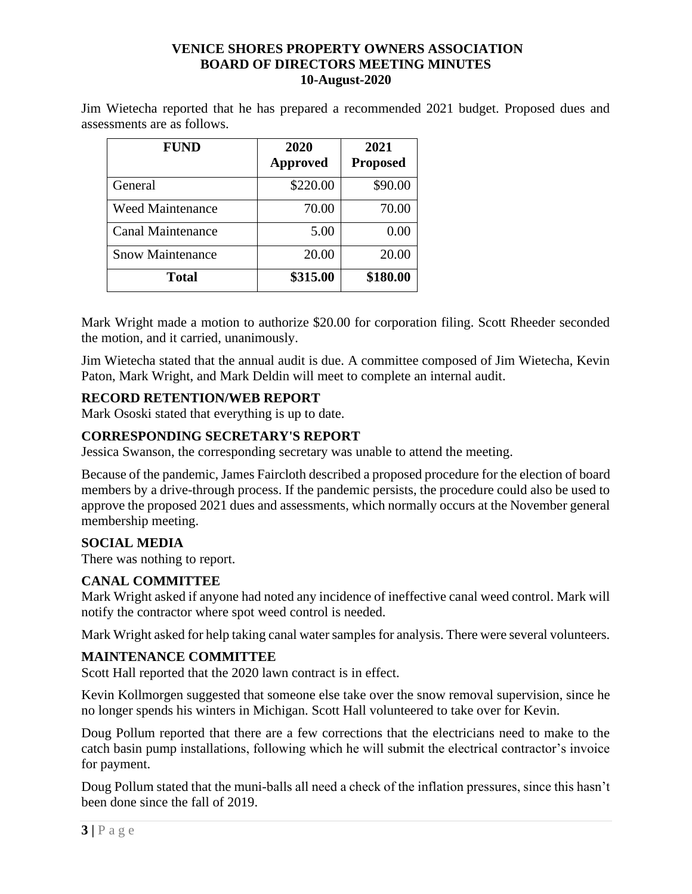Jim Wietecha reported that he has prepared a recommended 2021 budget. Proposed dues and assessments are as follows.

| <b>FUND</b>              | 2020<br><b>Approved</b> | 2021<br><b>Proposed</b> |
|--------------------------|-------------------------|-------------------------|
| General                  | \$220.00                | \$90.00                 |
| <b>Weed Maintenance</b>  | 70.00                   | 70.00                   |
| <b>Canal Maintenance</b> | 5.00                    | 0.00                    |
| <b>Snow Maintenance</b>  | 20.00                   | 20.00                   |
| <b>Total</b>             | \$315.00                | \$180.00                |

Mark Wright made a motion to authorize \$20.00 for corporation filing. Scott Rheeder seconded the motion, and it carried, unanimously.

Jim Wietecha stated that the annual audit is due. A committee composed of Jim Wietecha, Kevin Paton, Mark Wright, and Mark Deldin will meet to complete an internal audit.

# **RECORD RETENTION/WEB REPORT**

Mark Ososki stated that everything is up to date.

# **CORRESPONDING SECRETARY'S REPORT**

Jessica Swanson, the corresponding secretary was unable to attend the meeting.

Because of the pandemic, James Faircloth described a proposed procedure for the election of board members by a drive-through process. If the pandemic persists, the procedure could also be used to approve the proposed 2021 dues and assessments, which normally occurs at the November general membership meeting.

## **SOCIAL MEDIA**

There was nothing to report.

## **CANAL COMMITTEE**

Mark Wright asked if anyone had noted any incidence of ineffective canal weed control. Mark will notify the contractor where spot weed control is needed.

Mark Wright asked for help taking canal water samples for analysis. There were several volunteers.

## **MAINTENANCE COMMITTEE**

Scott Hall reported that the 2020 lawn contract is in effect.

Kevin Kollmorgen suggested that someone else take over the snow removal supervision, since he no longer spends his winters in Michigan. Scott Hall volunteered to take over for Kevin.

Doug Pollum reported that there are a few corrections that the electricians need to make to the catch basin pump installations, following which he will submit the electrical contractor's invoice for payment.

Doug Pollum stated that the muni-balls all need a check of the inflation pressures, since this hasn't been done since the fall of 2019.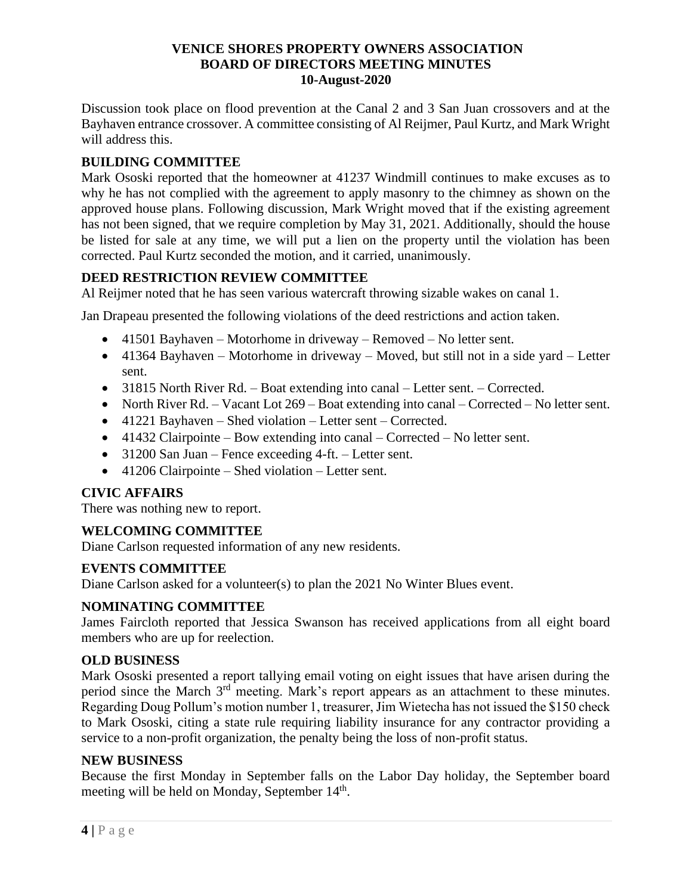Discussion took place on flood prevention at the Canal 2 and 3 San Juan crossovers and at the Bayhaven entrance crossover. A committee consisting of Al Reijmer, Paul Kurtz, and Mark Wright will address this.

# **BUILDING COMMITTEE**

Mark Ososki reported that the homeowner at 41237 Windmill continues to make excuses as to why he has not complied with the agreement to apply masonry to the chimney as shown on the approved house plans. Following discussion, Mark Wright moved that if the existing agreement has not been signed, that we require completion by May 31, 2021. Additionally, should the house be listed for sale at any time, we will put a lien on the property until the violation has been corrected. Paul Kurtz seconded the motion, and it carried, unanimously.

## **DEED RESTRICTION REVIEW COMMITTEE**

Al Reijmer noted that he has seen various watercraft throwing sizable wakes on canal 1.

Jan Drapeau presented the following violations of the deed restrictions and action taken.

- 41501 Bayhaven Motorhome in driveway Removed No letter sent.
- 41364 Bayhaven Motorhome in driveway Moved, but still not in a side yard Letter sent.
- 31815 North River Rd. Boat extending into canal Letter sent. Corrected.
- North River Rd. Vacant Lot 269 Boat extending into canal Corrected No letter sent.
- 41221 Bayhaven Shed violation Letter sent Corrected.
- 41432 Clairpointe Bow extending into canal Corrected No letter sent.
- 31200 San Juan Fence exceeding 4-ft. Letter sent.
- 41206 Clairpointe Shed violation Letter sent.

## **CIVIC AFFAIRS**

There was nothing new to report.

## **WELCOMING COMMITTEE**

Diane Carlson requested information of any new residents.

## **EVENTS COMMITTEE**

Diane Carlson asked for a volunteer(s) to plan the 2021 No Winter Blues event.

### **NOMINATING COMMITTEE**

James Faircloth reported that Jessica Swanson has received applications from all eight board members who are up for reelection.

### **OLD BUSINESS**

Mark Ososki presented a report tallying email voting on eight issues that have arisen during the period since the March 3<sup>rd</sup> meeting. Mark's report appears as an attachment to these minutes. Regarding Doug Pollum's motion number 1, treasurer, Jim Wietecha has not issued the \$150 check to Mark Ososki, citing a state rule requiring liability insurance for any contractor providing a service to a non-profit organization, the penalty being the loss of non-profit status.

### **NEW BUSINESS**

Because the first Monday in September falls on the Labor Day holiday, the September board meeting will be held on Monday, September 14<sup>th</sup>.